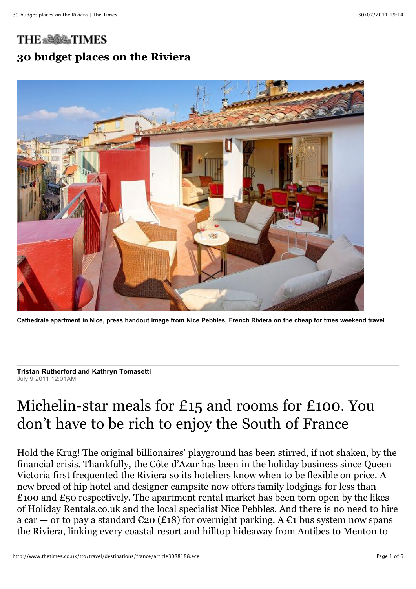# **THE & & & TIMES 30 budget places on the Riviera**



**Cathedrale apartment in Nice, press handout image from Nice Pebbles, French Riviera on the cheap for tmes weekend travel**

**Tristan Rutherford and Kathryn Tomasetti** July 9 2011 12:01AM

# Michelin-star meals for £15 and rooms for £100. You don't have to be rich to enjoy the South of France

Hold the Krug! The original billionaires' playground has been stirred, if not shaken, by the financial crisis. Thankfully, the Côte d'Azur has been in the holiday business since Queen Victoria first frequented the Riviera so its hoteliers know when to be flexible on price. A new breed of hip hotel and designer campsite now offers family lodgings for less than £100 and £50 respectively. The apartment rental market has been torn open by the likes of Holiday Rentals.co.uk and the local specialist Nice Pebbles. And there is no need to hire a car — or to pay a standard  $\epsilon_{20}$  (£18) for overnight parking. A  $\epsilon_1$  bus system now spans the Riviera, linking every coastal resort and hilltop hideaway from Antibes to Menton to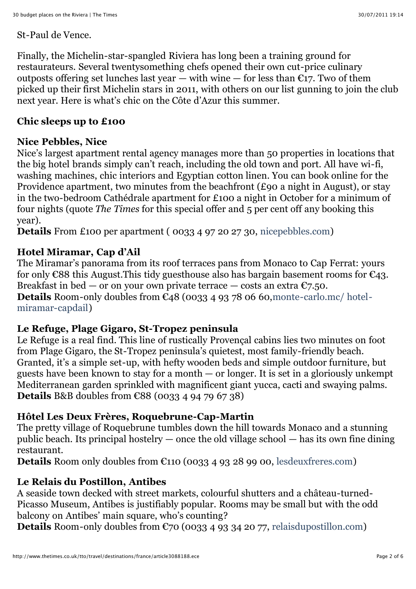#### St-Paul de Vence.

Finally, the Michelin-star-spangled Riviera has long been a training ground for restaurateurs. Several twentysomething chefs opened their own cut-price culinary outposts offering set lunches last year — with wine — for less than  $\widehat{\varepsilon}_{17}$ . Two of them picked up their first Michelin stars in 2011, with others on our list gunning to join the club next year. Here is what's chic on the Côte d'Azur this summer.

#### **Chic sleeps up to £100**

## **Nice Pebbles, Nice**

Nice's largest apartment rental agency manages more than 50 properties in locations that the big hotel brands simply can't reach, including the old town and port. All have wi-fi, washing machines, chic interiors and Egyptian cotton linen. You can book online for the Providence apartment, two minutes from the beachfront (£90 a night in August), or stay in the two-bedroom Cathédrale apartment for £100 a night in October for a minimum of four nights (quote *The Times* for this special offer and 5 per cent off any booking this year).

**Details** From £100 per apartment ( 0033 4 97 20 27 30, [nicepebbles.com](http://nicepebbles.com/))

# **Hotel Miramar, Cap d'Ail**

The Miramar's panorama from its roof terraces pans from Monaco to Cap Ferrat: yours for only  $\epsilon$ 88 this August. This tidy guesthouse also has bargain basement rooms for  $\epsilon$ 43. Breakfast in bed — or on your own private terrace — costs an extra  $\epsilon$ 7.50. **Details** Room-only doubles from €[48 \(0033 4 93 78 06 60,monte-carlo.mc/ hotel](http://monte-carlo.mc/%20hotel-miramar-capdail)miramar-capdail)

# **Le Refuge, Plage Gigaro, St-Tropez peninsula**

Le Refuge is a real find. This line of rustically Provençal cabins lies two minutes on foot from Plage Gigaro, the St-Tropez peninsula's quietest, most family-friendly beach. Granted, it's a simple set-up, with hefty wooden beds and simple outdoor furniture, but guests have been known to stay for a month — or longer. It is set in a gloriously unkempt Mediterranean garden sprinkled with magnificent giant yucca, cacti and swaying palms. **Details** B&B doubles from €88 (0033 4 94 79 67 38)

# **Hôtel Les Deux Frères, Roquebrune-Cap-Martin**

The pretty village of Roquebrune tumbles down the hill towards Monaco and a stunning public beach. Its principal hostelry — once the old village school — has its own fine dining restaurant.

**Details** Room only doubles from €110 (0033 4 93 28 99 00, [lesdeuxfreres.com](http://lesdeuxfreres.com/))

# **Le Relais du Postillon, Antibes**

A seaside town decked with street markets, colourful shutters and a château-turned-Picasso Museum, Antibes is justifiably popular. Rooms may be small but with the odd balcony on Antibes' main square, who's counting?

**Details** Room-only doubles from  $\mathfrak{C}$ 70 (0033 4 93 34 20 77, [relaisdupostillon.com](http://relaisdupostillon.com/))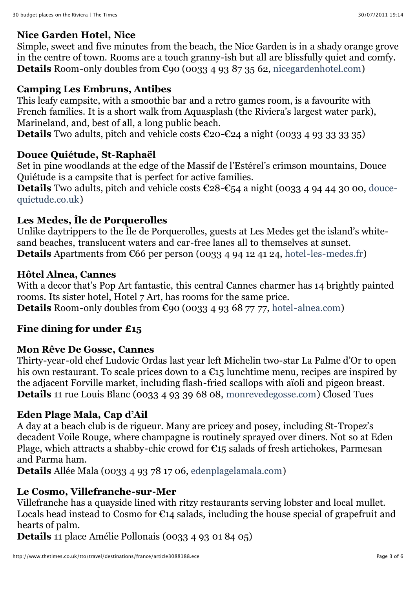### **Nice Garden Hotel, Nice**

Simple, sweet and five minutes from the beach, the Nice Garden is in a shady orange grove in the centre of town. Rooms are a touch granny-ish but all are blissfully quiet and comfy. **Details** Room-only doubles from  $\epsilon$ 90 (0033 4 93 87 35 62, [nicegardenhotel.com](http://nicegardenhotel.com/))

# **Camping Les Embruns, Antibes**

This leafy campsite, with a smoothie bar and a retro games room, is a favourite with French families. It is a short walk from Aquasplash (the Riviera's largest water park), Marineland, and, best of all, a long public beach.

Details Two adults, pitch and vehicle costs €20-€24 a night (0033 4 93 33 33 35)

# **Douce Quiétude, St-Raphaël**

Set in pine woodlands at the edge of the Massif de l'Estérel's crimson mountains, Douce Quiétude is a campsite that is perfect for active families.

Details Two adults, pitch and vehicle costs €28-€[54 a night \(0033 4 94 44 30 00, douce](http://douce-quietude.co.uk/)quietude.co.uk)

# **Les Medes, Île de Porquerolles**

Unlike daytrippers to the Île de Porquerolles, guests at Les Medes get the island's whitesand beaches, translucent waters and car-free lanes all to themselves at sunset. **Details** Apartments from  $\epsilon$ 66 per person (0033 4 94 12 41 24, [hotel-les-medes.fr](http://hotel-les-medes.fr/))

#### **Hôtel Alnea, Cannes**

With a decor that's Pop Art fantastic, this central Cannes charmer has 14 brightly painted rooms. Its sister hotel, Hotel 7 Art, has rooms for the same price. **Details** Room-only doubles from  $\epsilon$ 90 (0033 4 93 68 77 77, [hotel-alnea.com](http://hotel-alnea.com/))

# **Fine dining for under £15**

#### **Mon Rêve De Gosse, Cannes**

Thirty-year-old chef Ludovic Ordas last year left Michelin two-star La Palme d'Or to open his own restaurant. To scale prices down to a  $\epsilon_{15}$  lunchtime menu, recipes are inspired by the adjacent Forville market, including flash-fried scallops with aïoli and pigeon breast. **Details** 11 rue Louis Blanc (0033 4 93 39 68 08, [monrevedegosse.com](http://monrevedegosse.com/)) Closed Tues

#### **Eden Plage Mala, Cap d'Ail**

A day at a beach club is de rigueur. Many are pricey and posey, including St-Tropez's decadent Voile Rouge, where champagne is routinely sprayed over diners. Not so at Eden Plage, which attracts a shabby-chic crowd for  $\epsilon$ 15 salads of fresh artichokes, Parmesan and Parma ham.

**Details** Allée Mala (0033 4 93 78 17 06, [edenplagelamala.com](http://edenplagelamala.com/))

# **Le Cosmo, Villefranche-sur-Mer**

Villefranche has a quayside lined with ritzy restaurants serving lobster and local mullet. Locals head instead to Cosmo for  $\epsilon_{14}$  salads, including the house special of grapefruit and hearts of palm.

**Details** 11 place Amélie Pollonais (0033 4 93 01 84 05)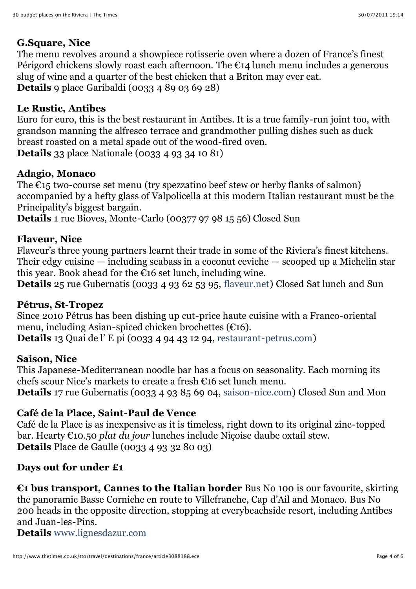# **G.Square, Nice**

The menu revolves around a showpiece rotisserie oven where a dozen of France's finest Périgord chickens slowly roast each afternoon. The  $\epsilon_{14}$  lunch menu includes a generous slug of wine and a quarter of the best chicken that a Briton may ever eat. **Details** 9 place Garibaldi (0033 4 89 03 69 28)

#### **Le Rustic, Antibes**

Euro for euro, this is the best restaurant in Antibes. It is a true family-run joint too, with grandson manning the alfresco terrace and grandmother pulling dishes such as duck breast roasted on a metal spade out of the wood-fired oven. **Details** 33 place Nationale (0033 4 93 34 10 81)

#### **Adagio, Monaco**

The  $E15$  two-course set menu (try spezzatino beef stew or herby flanks of salmon) accompanied by a hefty glass of Valpolicella at this modern Italian restaurant must be the Principality's biggest bargain.

**Details** 1 rue Bioves, Monte-Carlo (00377 97 98 15 56) Closed Sun

#### **Flaveur, Nice**

Flaveur's three young partners learnt their trade in some of the Riviera's finest kitchens. Their edgy cuisine — including seabass in a coconut ceviche — scooped up a Michelin star this year. Book ahead for the  $\epsilon$ 16 set lunch, including wine.

**Details** 25 rue Gubernatis (0033 4 93 62 53 95, [flaveur.net\)](http://flaveur.net/) Closed Sat lunch and Sun

#### **Pétrus, St-Tropez**

Since 2010 Pétrus has been dishing up cut-price haute cuisine with a Franco-oriental menu, including Asian-spiced chicken brochettes (€16). **Details** 13 Quai de l' E pi (0033 4 94 43 12 94, [restaurant-petrus.com](http://restaurant-petrus.com/))

#### **Saison, Nice**

This Japanese-Mediterranean noodle bar has a focus on seasonality. Each morning its chefs scour Nice's markets to create a fresh €16 set lunch menu. **Details** 17 rue Gubernatis (0033 4 93 85 69 04, [saison-nice.com\)](http://saison-nice.com/) Closed Sun and Mon

#### **Café de la Place, Saint-Paul de Vence**

Café de la Place is as inexpensive as it is timeless, right down to its original zinc-topped bar. Hearty €10.50 *plat du jour* lunches include Niçoise daube oxtail stew. **Details** Place de Gaulle (0033 4 93 32 80 03)

#### **Days out for under £1**

**€1 bus transport, Cannes to the Italian border** Bus No 100 is our favourite, skirting the panoramic Basse Corniche en route to Villefranche, Cap d'Ail and Monaco. Bus No 200 heads in the opposite direction, stopping at everybeachside resort, including Antibes and Juan-les-Pins.

**Details** [www.lignesdazur.com](http://www.lignesdazur.com/)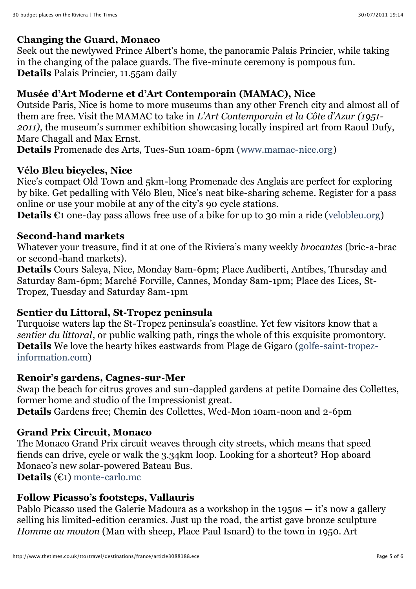#### **Changing the Guard, Monaco**

Seek out the newlywed Prince Albert's home, the panoramic Palais Princier, while taking in the changing of the palace guards. The five-minute ceremony is pompous fun. **Details** Palais Princier, 11.55am daily

#### **Musée d'Art Moderne et d'Art Contemporain (MAMAC), Nice**

Outside Paris, Nice is home to more museums than any other French city and almost all of them are free. Visit the MAMAC to take in *L'Art Contemporain et la Côte d'Azur (1951- 2011)*, the museum's summer exhibition showcasing locally inspired art from Raoul Dufy, Marc Chagall and Max Ernst.

**Details** Promenade des Arts, Tues-Sun 10am-6pm ([www.mamac-nice.org](http://www.mamac-nice.org/))

#### **Vélo Bleu bicycles, Nice**

Nice's compact Old Town and 5km-long Promenade des Anglais are perfect for exploring by bike. Get pedalling with Vélo Bleu, Nice's neat bike-sharing scheme. Register for a pass online or use your mobile at any of the city's 90 cycle stations.

**Details** €1 one-day pass allows free use of a bike for up to 30 min a ride ([velobleu.org](http://velobleu.org/))

#### **Second-hand markets**

Whatever your treasure, find it at one of the Riviera's many weekly *brocantes* (bric-a-brac or second-hand markets).

**Details** Cours Saleya, Nice, Monday 8am-6pm; Place Audiberti, Antibes, Thursday and Saturday 8am-6pm; Marché Forville, Cannes, Monday 8am-1pm; Place des Lices, St-Tropez, Tuesday and Saturday 8am-1pm

#### **Sentier du Littoral, St-Tropez peninsula**

Turquoise waters lap the St-Tropez peninsula's coastline. Yet few visitors know that a *sentier du littoral*, or public walking path, rings the whole of this exquisite promontory. **Details** [We love the hearty hikes eastwards from Plage de Gigaro \(golfe-saint-tropez](http://golfe-saint-tropez-information.com/)information.com)

#### **Renoir's gardens, Cagnes-sur-Mer**

Swap the beach for citrus groves and sun-dappled gardens at petite Domaine des Collettes, former home and studio of the Impressionist great.

**Details** Gardens free; Chemin des Collettes, Wed-Mon 10am-noon and 2-6pm

## **Grand Prix Circuit, Monaco**

The Monaco Grand Prix circuit weaves through city streets, which means that speed fiends can drive, cycle or walk the 3.34km loop. Looking for a shortcut? Hop aboard Monaco's new solar-powered Bateau Bus.

**Details** (€1) [monte-carlo.mc](http://monte-carlo.mc/)

#### **Follow Picasso's footsteps, Vallauris**

Pablo Picasso used the Galerie Madoura as a workshop in the 1950s — it's now a gallery selling his limited-edition ceramics. Just up the road, the artist gave bronze sculpture *Homme au mouton* (Man with sheep, Place Paul Isnard) to the town in 1950. Art